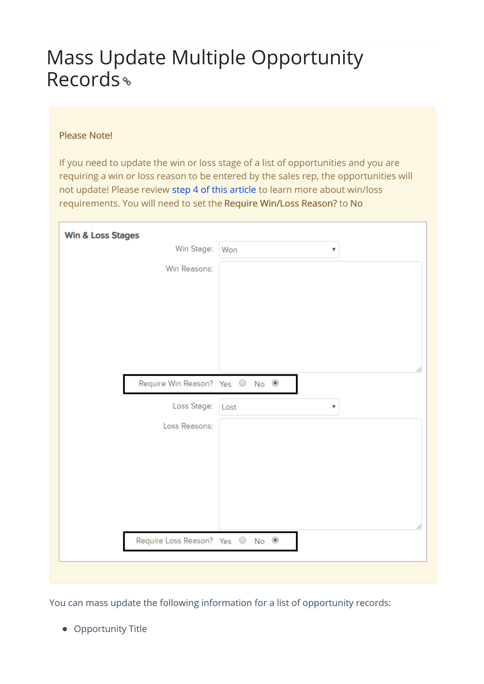## Mass Update Multiple Opportunity Records<sup>®</sup>

## Please Note!

If you need to update the win or loss stage of a list of opportunities and you are requiring a win or loss reason to be entered by the sales rep, the opportunities will not update! Please review step 4 of this article to learn more about win/loss requirements. You will need to set the Require Win/Loss Reason? to No

| Win & Loss Stages               |                                 |
|---------------------------------|---------------------------------|
| Win Stage:                      | Won<br>$\overline{\mathbf{v}}$  |
| Win Reasons:                    |                                 |
|                                 |                                 |
|                                 |                                 |
|                                 |                                 |
|                                 |                                 |
|                                 |                                 |
|                                 |                                 |
| Require Win Reason? Yes O No O  |                                 |
| Loss Stage:                     | Lost<br>$\overline{\mathbf{v}}$ |
| Loss Reasons:                   |                                 |
|                                 |                                 |
|                                 |                                 |
|                                 |                                 |
|                                 |                                 |
|                                 |                                 |
|                                 |                                 |
| Require Loss Reason? Yes O No O |                                 |
|                                 |                                 |

You can mass update the following information for a list of opportunity records:

• Opportunity Title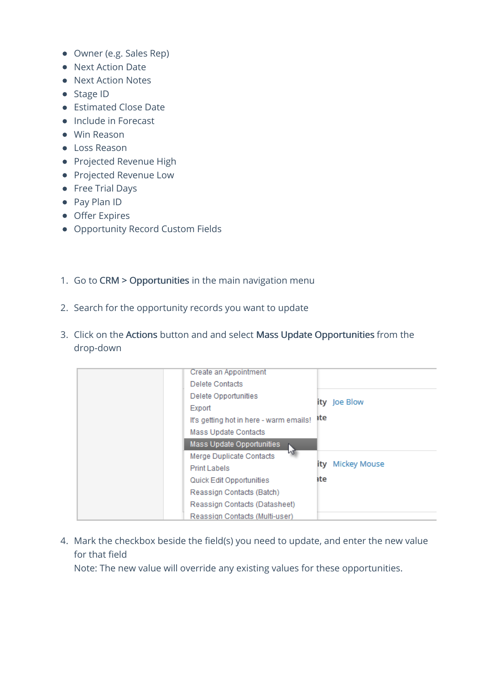- Owner (e.g. Sales Rep)
- Next Action Date
- Next Action Notes
- Stage ID
- Estimated Close Date
- Include in Forecast
- Win Reason
- Loss Reason
- Projected Revenue High
- Projected Revenue Low
- Free Trial Days
- Pay Plan ID
- **•** Offer Expires
- Opportunity Record Custom Fields
- 1. Go to CRM > Opportunities in the main navigation menu
- 2. Search for the opportunity records you want to update
- 3. Click on the Actions button and and select Mass Update Opportunities from the drop-down

| Create an Appointment<br>Delete Contacts                                                     |     |                  |
|----------------------------------------------------------------------------------------------|-----|------------------|
| Delete Opportunities<br>Export                                                               | ate | ity Joe Blow     |
| It's getting hot in here - warm emails!<br>Mass Update Contacts                              |     |                  |
| Mass Update Opportunities<br>₩<br><b>Merge Duplicate Contacts</b>                            |     | ity Mickey Mouse |
| Print Labels<br>Quick Edit Opportunities                                                     | ate |                  |
| Reassign Contacts (Batch)<br>Reassign Contacts (Datasheet)<br>Reassign Contacts (Multi-user) |     |                  |

4. Mark the checkbox beside the field(s) you need to update, and enter the new value for that field

Note: The new value will override any existing values for these opportunities.